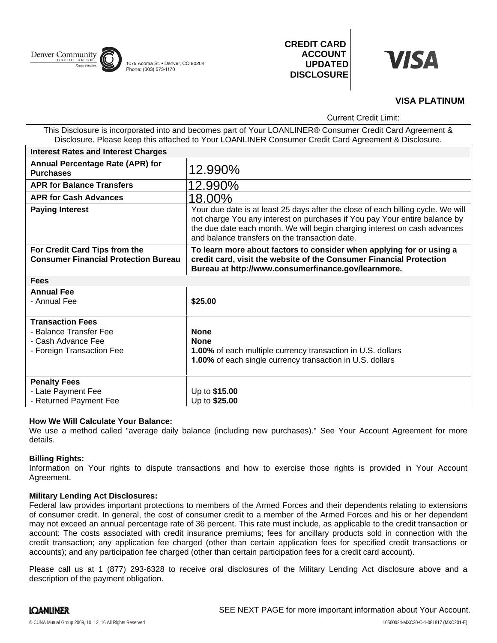

1075 Acoma St. • Denver, CO 80204 Phone: (303) 573-1170

**CREDIT CARD ACCOUNT UPDATED DISCLOSURE**



# **VISA PLATINUM**

Current Credit Limit:

This Disclosure is incorporated into and becomes part of Your LOANLINER® Consumer Credit Card Agreement & Disclosure. Please keep this attached to Your LOANLINER Consumer Credit Card Agreement & Disclosure.

| <b>Interest Rates and Interest Charges</b>                                   |                                                                                                                                                                                                                                                                                               |
|------------------------------------------------------------------------------|-----------------------------------------------------------------------------------------------------------------------------------------------------------------------------------------------------------------------------------------------------------------------------------------------|
| <b>Annual Percentage Rate (APR) for</b><br><b>Purchases</b>                  | 12.990%                                                                                                                                                                                                                                                                                       |
| <b>APR for Balance Transfers</b>                                             | 12.990%                                                                                                                                                                                                                                                                                       |
| <b>APR for Cash Advances</b>                                                 | 18.00%                                                                                                                                                                                                                                                                                        |
| <b>Paying Interest</b>                                                       | Your due date is at least 25 days after the close of each billing cycle. We will<br>not charge You any interest on purchases if You pay Your entire balance by<br>the due date each month. We will begin charging interest on cash advances<br>and balance transfers on the transaction date. |
| For Credit Card Tips from the<br><b>Consumer Financial Protection Bureau</b> | To learn more about factors to consider when applying for or using a<br>credit card, visit the website of the Consumer Financial Protection<br>Bureau at http://www.consumerfinance.gov/learnmore.                                                                                            |
| <b>Fees</b>                                                                  |                                                                                                                                                                                                                                                                                               |
| <b>Annual Fee</b>                                                            |                                                                                                                                                                                                                                                                                               |
| - Annual Fee                                                                 | \$25.00                                                                                                                                                                                                                                                                                       |
| <b>Transaction Fees</b>                                                      |                                                                                                                                                                                                                                                                                               |
| - Balance Transfer Fee                                                       | <b>None</b>                                                                                                                                                                                                                                                                                   |
| - Cash Advance Fee                                                           | <b>None</b>                                                                                                                                                                                                                                                                                   |
| - Foreign Transaction Fee                                                    | 1.00% of each multiple currency transaction in U.S. dollars<br><b>1.00%</b> of each single currency transaction in U.S. dollars                                                                                                                                                               |
| <b>Penalty Fees</b>                                                          |                                                                                                                                                                                                                                                                                               |
| - Late Payment Fee                                                           | Up to \$15.00                                                                                                                                                                                                                                                                                 |
| - Returned Payment Fee                                                       | Up to \$25.00                                                                                                                                                                                                                                                                                 |

# **How We Will Calculate Your Balance:**

We use a method called "average daily balance (including new purchases)." See Your Account Agreement for more details.

## **Billing Rights:**

Information on Your rights to dispute transactions and how to exercise those rights is provided in Your Account Agreement.

## **Military Lending Act Disclosures:**

Federal law provides important protections to members of the Armed Forces and their dependents relating to extensions of consumer credit. In general, the cost of consumer credit to a member of the Armed Forces and his or her dependent may not exceed an annual percentage rate of 36 percent. This rate must include, as applicable to the credit transaction or account: The costs associated with credit insurance premiums; fees for ancillary products sold in connection with the credit transaction; any application fee charged (other than certain application fees for specified credit transactions or accounts); and any participation fee charged (other than certain participation fees for a credit card account).

Please call us at 1 (877) 293-6328 to receive oral disclosures of the Military Lending Act disclosure above and a description of the payment obligation.